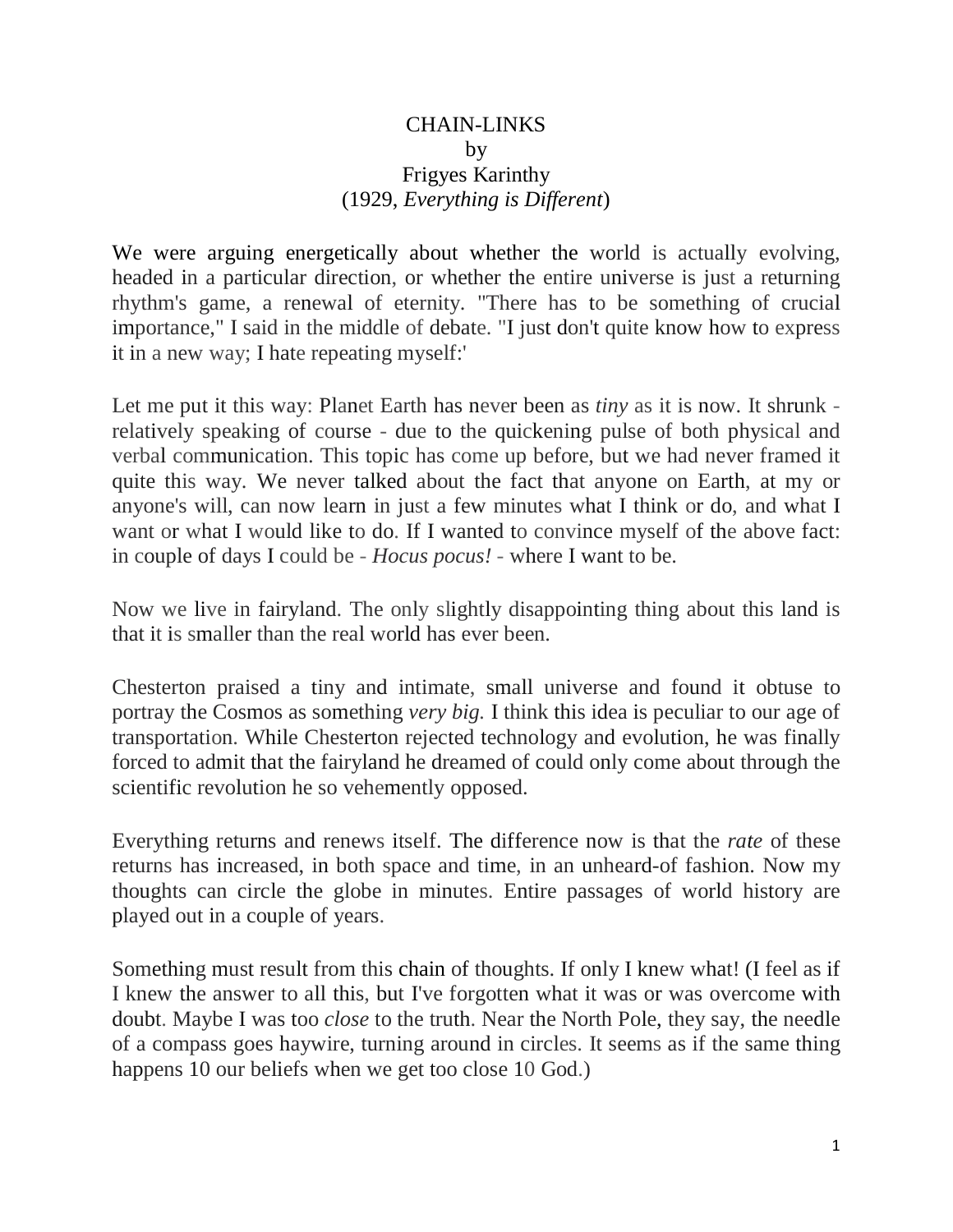## CHAIN-LINKS by Frigyes Karinthy (1929, *Everything is Different*)

We were arguing energetically about whether the world is actually evolving, headed in a particular direction, or whether the entire universe is just a returning rhythm's game, a renewal of eternity. "There has to be something of crucial importance," I said in the middle of debate. "I just don't quite know how to express it in a new way; I hate repeating myself:'

Let me put it this way: Planet Earth has never been as *tiny* as it is now. It shrunk relatively speaking of course - due to the quickening pulse of both physical and verbal communication. This topic has come up before, but we had never framed it quite this way. We never talked about the fact that anyone on Earth, at my or anyone's will, can now learn in just a few minutes what I think or do, and what I want or what I would like to do. If I wanted to convince myself of the above fact: in couple of days I could be - *Hocus pocus!* - where I want to be.

Now we live in fairyland. The only slightly disappointing thing about this land is that it is smaller than the real world has ever been.

Chesterton praised a tiny and intimate, small universe and found it obtuse to portray the Cosmos as something *very big.* I think this idea is peculiar to our age of transportation. While Chesterton rejected technology and evolution, he was finally forced to admit that the fairyland he dreamed of could only come about through the scientific revolution he so vehemently opposed.

Everything returns and renews itself. The difference now is that the *rate* of these returns has increased, in both space and time, in an unheard-of fashion. Now my thoughts can circle the globe in minutes. Entire passages of world history are played out in a couple of years.

Something must result from this chain of thoughts. If only I knew what! (I feel as if I knew the answer to all this, but I've forgotten what it was or was overcome with doubt. Maybe I was too *close* to the truth. Near the North Pole, they say, the needle of a compass goes haywire, turning around in circles. It seems as if the same thing happens 10 our beliefs when we get too close 10 God.)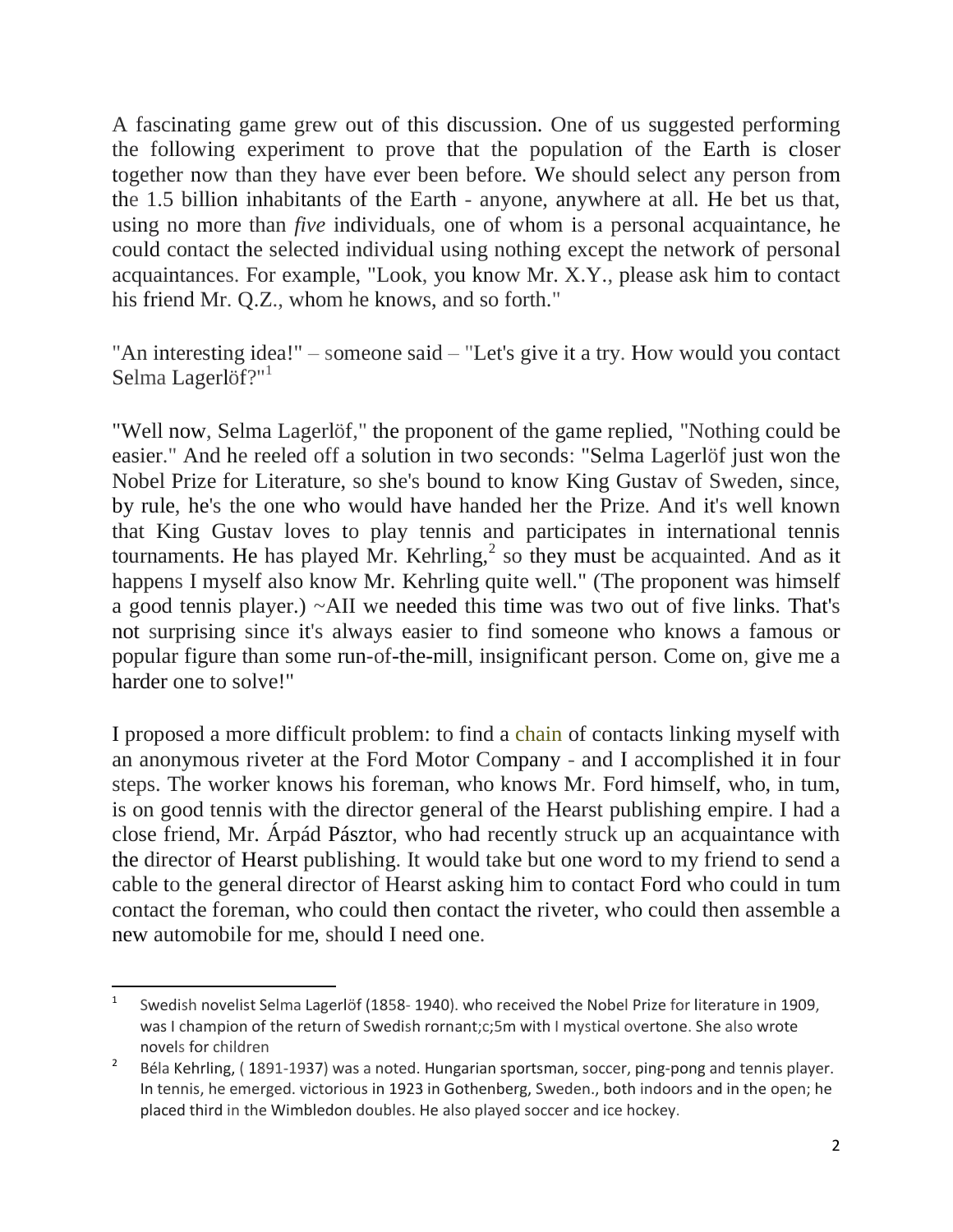A fascinating game grew out of this discussion. One of us suggested performing the following experiment to prove that the population of the Earth is closer together now than they have ever been before. We should select any person from the 1.5 billion inhabitants of the Earth - anyone, anywhere at all. He bet us that, using no more than *five* individuals, one of whom is a personal acquaintance, he could contact the selected individual using nothing except the network of personal acquaintances. For example, "Look, you know Mr. X.Y., please ask him to contact his friend Mr. Q.Z., whom he knows, and so forth."

"An interesting idea!" – someone said – "Let's give it a try. How would you contact Selma Lagerlöf?"<sup>1</sup>

"Well now, Selma Lagerlöf," the proponent of the game replied, "Nothing could be easier." And he reeled off a solution in two seconds: "Selma Lagerlöf just won the Nobel Prize for Literature, so she's bound to know King Gustav of Sweden, since, by rule, he's the one who would have handed her the Prize. And it's well known that King Gustav loves to play tennis and participates in international tennis tournaments. He has played Mr. Kehrling,<sup>2</sup> so they must be acquainted. And as it happens I myself also know Mr. Kehrling quite well." (The proponent was himself a good tennis player.) ~AII we needed this time was two out of five links. That's not surprising since it's always easier to find someone who knows a famous or popular figure than some run-of-the-mill, insignificant person. Come on, give me a harder one to solve!"

I proposed a more difficult problem: to find a chain of contacts linking myself with an anonymous riveter at the Ford Motor Company - and I accomplished it in four steps. The worker knows his foreman, who knows Mr. Ford himself, who, in tum, is on good tennis with the director general of the Hearst publishing empire. I had a close friend, Mr. Árpád Pásztor, who had recently struck up an acquaintance with the director of Hearst publishing. It would take but one word to my friend to send a cable to the general director of Hearst asking him to contact Ford who could in tum contact the foreman, who could then contact the riveter, who could then assemble a new automobile for me, should I need one.

 $\overline{1}$ Swedish novelist Selma Lagerlöf (1858- 1940). who received the Nobel Prize for literature in 1909, was I champion of the return of Swedish rornant;c;5m with I mystical overtone. She also wrote novels for children

<sup>2</sup> Béla Kehrling, ( 1891-1937) was a noted. Hungarian sportsman, soccer, ping-pong and tennis player. In tennis, he emerged. victorious in 1923 in Gothenberg, Sweden., both indoors and in the open; he placed third in the Wimbledon doubles. He also played soccer and ice hockey.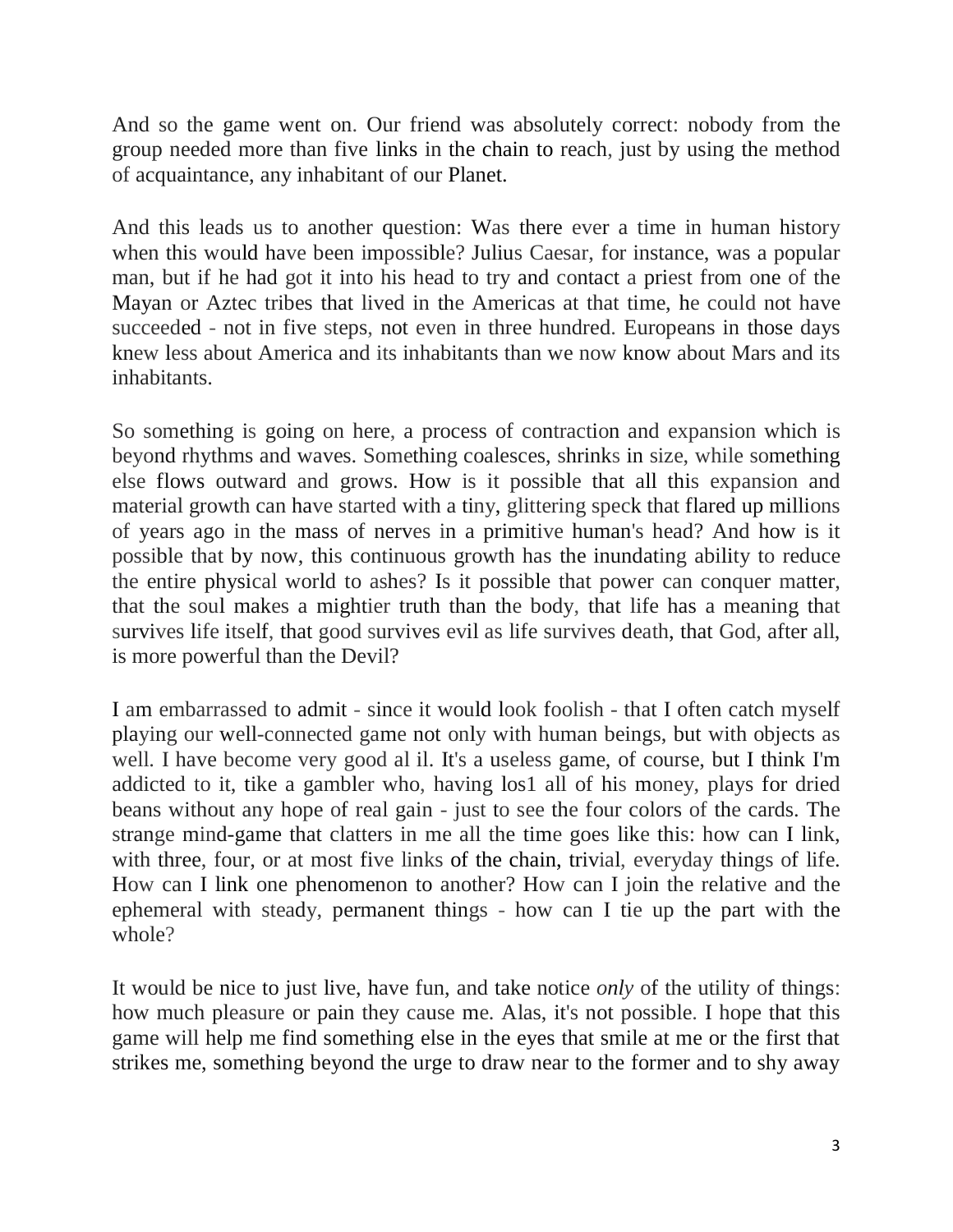And so the game went on. Our friend was absolutely correct: nobody from the group needed more than five links in the chain to reach, just by using the method of acquaintance, any inhabitant of our Planet.

And this leads us to another question: Was there ever a time in human history when this would have been impossible? Julius Caesar, for instance, was a popular man, but if he had got it into his head to try and contact a priest from one of the Mayan or Aztec tribes that lived in the Americas at that time, he could not have succeeded - not in five steps, not even in three hundred. Europeans in those days knew less about America and its inhabitants than we now know about Mars and its inhabitants.

So something is going on here, a process of contraction and expansion which is beyond rhythms and waves. Something coalesces, shrinks in size, while something else flows outward and grows. How is it possible that all this expansion and material growth can have started with a tiny, glittering speck that flared up millions of years ago in the mass of nerves in a primitive human's head? And how is it possible that by now, this continuous growth has the inundating ability to reduce the entire physical world to ashes? Is it possible that power can conquer matter, that the soul makes a mightier truth than the body, that life has a meaning that survives life itself, that good survives evil as life survives death, that God, after all, is more powerful than the Devil?

I am embarrassed to admit - since it would look foolish - that I often catch myself playing our well-connected game not only with human beings, but with objects as well. I have become very good al il. It's a useless game, of course, but I think I'm addicted to it, tike a gambler who, having los1 all of his money, plays for dried beans without any hope of real gain - just to see the four colors of the cards. The strange mind-game that clatters in me all the time goes like this: how can I link, with three, four, or at most five links of the chain, trivial, everyday things of life. How can I link one phenomenon to another? How can I join the relative and the ephemeral with steady, permanent things - how can I tie up the part with the whole?

It would be nice to just live, have fun, and take notice *only* of the utility of things: how much pleasure or pain they cause me. Alas, it's not possible. I hope that this game will help me find something else in the eyes that smile at me or the first that strikes me, something beyond the urge to draw near to the former and to shy away